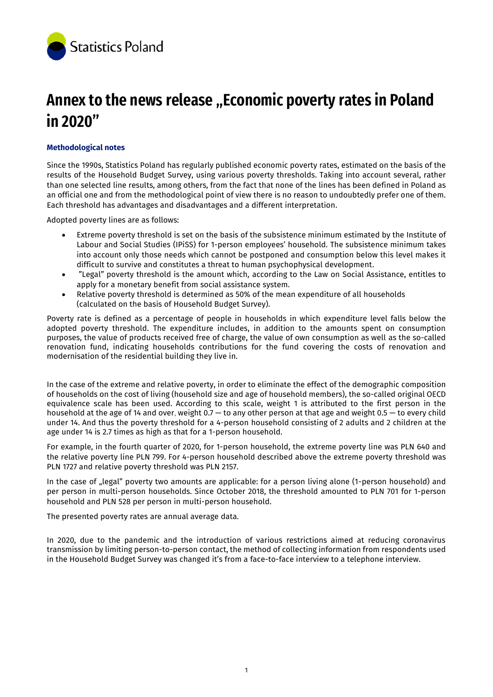

# **Annex to the news release "Economic poverty rates in Poland in 2020"**

# **Methodological notes**

Since the 1990s, Statistics Poland has regularly published economic poverty rates, estimated on the basis of the results of the Household Budget Survey, using various poverty thresholds. Taking into account several, rather than one selected line results, among others, from the fact that none of the lines has been defined in Poland as an official one and from the methodological point of view there is no reason to undoubtedly prefer one of them. Each threshold has advantages and disadvantages and a different interpretation.

Adopted poverty lines are as follows:

- Extreme poverty threshold is set on the basis of the subsistence minimum estimated by the Institute of Labour and Social Studies (IPiSS) for 1-person employees' household. The subsistence minimum takes into account only those needs which cannot be postponed and consumption below this level makes it difficult to survive and constitutes a threat to human psychophysical development.
- "Legal" poverty threshold is the amount which, according to the Law on Social Assistance, entitles to apply for a monetary benefit from social assistance system.
- Relative poverty threshold is determined as 50% of the mean expenditure of all households (calculated on the basis of Household Budget Survey).

Poverty rate is defined as a percentage of people in households in which expenditure level falls below the adopted poverty threshold. The expenditure includes, in addition to the amounts spent on consumption purposes, the value of products received free of charge, the value of own consumption as well as the so-called renovation fund, indicating households contributions for the fund covering the costs of renovation and modernisation of the residential building they live in.

In the case of the extreme and relative poverty, in order to eliminate the effect of the demographic composition of households on the cost of living (household size and age of household members), the so-called original OECD equivalence scale has been used. According to this scale, weight 1 is attributed to the first person in the household at the age of 14 and over, weight 0.7 — to any other person at that age and weight 0.5 — to every child under 14. And thus the poverty threshold for a 4-person household consisting of 2 adults and 2 children at the age under 14 is 2.7 times as high as that for a 1-person household.

For example, in the fourth quarter of 2020, for 1-person household, the extreme poverty line was PLN 640 and the relative poverty line PLN 799. For 4-person household described above the extreme poverty threshold was PLN 1727 and relative poverty threshold was PLN 2157.

In the case of "legal" poverty two amounts are applicable: for a person living alone (1-person household) and per person in multi-person households. Since October 2018, the threshold amounted to PLN 701 for 1-person household and PLN 528 per person in multi-person household.

The presented poverty rates are annual average data.

In 2020, due to the pandemic and the introduction of various restrictions aimed at reducing coronavirus transmission by limiting person-to-person contact, the method of collecting information from respondents used in the Household Budget Survey was changed it's from a face-to-face interview to a telephone interview.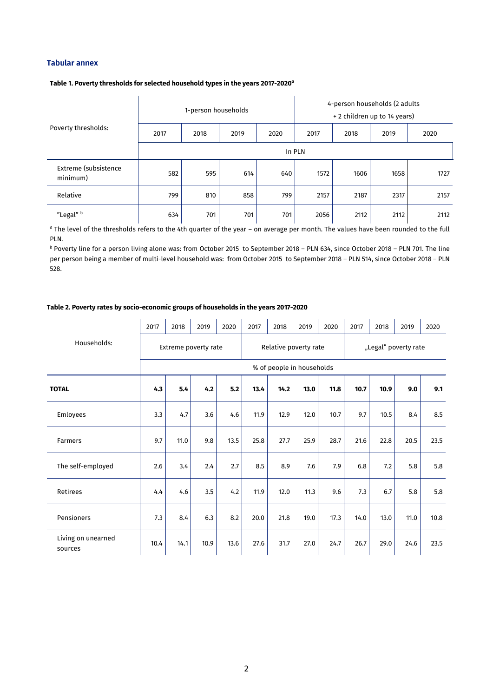## **Tabular annex**

#### **Table 1. Poverty thresholds for selected household types in the years 2017-2020***<sup>a</sup>*

|                                  |      | 1-person households |      |      | 4-person households (2 adults<br>+ 2 children up to 14 years) |      |      |      |  |  |  |  |  |
|----------------------------------|------|---------------------|------|------|---------------------------------------------------------------|------|------|------|--|--|--|--|--|
| Poverty thresholds:              | 2017 | 2018                | 2019 | 2020 | 2017                                                          | 2018 | 2019 | 2020 |  |  |  |  |  |
|                                  |      | In PLN              |      |      |                                                               |      |      |      |  |  |  |  |  |
| Extreme (subsistence<br>minimum) | 582  | 595                 | 614  | 640  | 1572                                                          | 1606 | 1658 | 1727 |  |  |  |  |  |
| Relative                         | 799  | 810                 | 858  | 799  | 2157                                                          | 2187 | 2317 | 2157 |  |  |  |  |  |
| "Legal" b                        | 634  | 701                 | 701  | 701  | 2056                                                          | 2112 | 2112 | 2112 |  |  |  |  |  |

*<sup>a</sup>* The level of the thresholds refers to the 4th quarter of the year – on average per month. The values have been rounded to the full PLN*.*

*<sup>b</sup>* Poverty line for a person living alone was: from October 2015 to September 2018 – PLN 634, since October 2018 – PLN 701. The line per person being a member of multi-level household was: from October 2015 to September 2018 – PLN 514, since October 2018 – PLN 528.

## **Table 2. Poverty rates by socio-economic groups of households in the years 2017-2020**

|                               | 2017                 | 2018 | 2019 | 2020 | 2017 | 2018                      | 2019 | 2020 | 2017                 | 2018 | 2019 | 2020 |
|-------------------------------|----------------------|------|------|------|------|---------------------------|------|------|----------------------|------|------|------|
| Households:                   | Extreme poverty rate |      |      |      |      | Relative poverty rate     |      |      | "Legal" poverty rate |      |      |      |
|                               |                      |      |      |      |      | % of people in households |      |      |                      |      |      |      |
| <b>TOTAL</b>                  | 4.3                  | 5.4  | 4.2  | 5.2  | 13.4 | 14.2                      | 13.0 | 11.8 | 10.7                 | 10.9 | 9.0  | 9.1  |
| Emloyees                      | 3.3                  | 4.7  | 3.6  | 4.6  | 11.9 | 12.9                      | 12.0 | 10.7 | 9.7                  | 10.5 | 8.4  | 8.5  |
| Farmers                       | 9.7                  | 11.0 | 9.8  | 13.5 | 25.8 | 27.7                      | 25.9 | 28.7 | 21.6                 | 22.8 | 20.5 | 23.5 |
| The self-employed             | 2.6                  | 3.4  | 2.4  | 2.7  | 8.5  | 8.9                       | 7.6  | 7.9  | 6.8                  | 7.2  | 5.8  | 5.8  |
| Retirees                      | 4.4                  | 4.6  | 3.5  | 4.2  | 11.9 | 12.0                      | 11.3 | 9.6  | 7.3                  | 6.7  | 5.8  | 5.8  |
| Pensioners                    | 7.3                  | 8.4  | 6.3  | 8.2  | 20.0 | 21.8                      | 19.0 | 17.3 | 14.0                 | 13.0 | 11.0 | 10.8 |
| Living on unearned<br>sources | 10.4                 | 14.1 | 10.9 | 13.6 | 27.6 | 31.7                      | 27.0 | 24.7 | 26.7                 | 29.0 | 24.6 | 23.5 |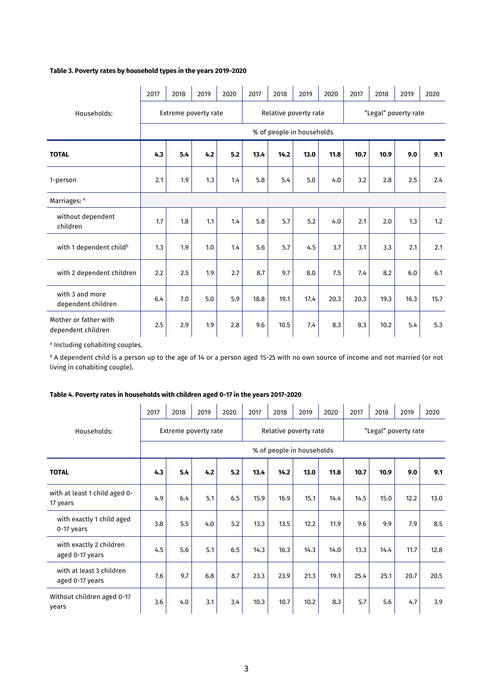## **Table 3. Poverty rates by household types in the years 2019-2020**

|                                             | 2017 | 2018                 | 2019 | 2020    | 2017 | 2018 | 2019                      | 2020 | 2017                 | 2018 | 2019 | 2020 |
|---------------------------------------------|------|----------------------|------|---------|------|------|---------------------------|------|----------------------|------|------|------|
| Households:                                 |      | Extreme poverty rate |      |         |      |      | Relative poverty rate     |      | "Legal" poverty rate |      |      |      |
|                                             |      |                      |      |         |      |      | % of people in households |      |                      |      |      |      |
| <b>TOTAL</b>                                | 4.3  | 5.4                  | 4.2  | 5.2     | 13.4 | 14.2 | 13.0                      | 11.8 | 10.7                 | 10.9 | 9.0  | 9.1  |
| 1-person                                    | 2.1  | 1.9                  | 1.3  | 1.4     | 5.8  | 5.4  | 5.0                       | 4.0  | 3.2                  | 2.8  | 2.5  | 2.4  |
| Marriages: a                                |      |                      |      |         |      |      |                           |      |                      |      |      |      |
| without dependent<br>children               | 1.7  | 1.8                  | 1.1  | 1.4     | 5.8  | 5.7  | 5.2                       | 4.0  | 2.1                  | 2.0  | 1.3  | 1.2  |
| with 1 dependent child <sup>b</sup>         | 1.3  | 1.9                  | 1.0  | 1.4     | 5.6  | 5.7  | 4.5                       | 3.7  | 3.1                  | 3.3  | 2.1  | 2.1  |
| with 2 dependent children                   | 2.2  | 2.5                  | 1.9  | 2.7     | 8.7  | 9.7  | 8.0                       | 7.5  | 7.4                  | 8.2  | 6.0  | 6.1  |
| with 3 and more<br>dependent children       | 6.4  | 7.0                  | 5.0  | 5.9     | 18.8 | 19.1 | 17.4                      | 20.3 | 20.3                 | 19.3 | 16.3 | 15.7 |
| Mother or father with<br>dependent children | 2.5  | 2.9                  | 1.9  | $2.8\,$ | 9.6  | 10.5 | 7.4                       | 8.3  | 8.3                  | 10.2 | 5.4  | 5.3  |

*a* Including cohabiting couples.

*<sup>b</sup>* A dependent child is a person up to the age of 14 or a person aged 15-25 with no own source of income and not married (or not living in cohabiting couple).

## **Table 4. Poverty rates in households with children aged 0-17 in the years 2017-2020**

|                                             | 2017 | 2018                      | 2019                 | 2020 | 2017 | 2018 | 2019                  | 2020 | 2017                 | 2018 | 2019 | 2020 |
|---------------------------------------------|------|---------------------------|----------------------|------|------|------|-----------------------|------|----------------------|------|------|------|
| Households:                                 |      |                           | Extreme poverty rate |      |      |      | Relative poverty rate |      | "Legal" poverty rate |      |      |      |
|                                             |      | % of people in households |                      |      |      |      |                       |      |                      |      |      |      |
| <b>TOTAL</b>                                | 4.3  | 5.4                       | 4.2                  | 5.2  | 13.4 | 14.2 | 13.0                  | 11.8 | 10.7                 | 10.9 | 9.0  | 9.1  |
| with at least 1 child aged 0-<br>17 years   | 4.9  | 6.4                       | 5.1                  | 6.5  | 15.9 | 16.9 | 15.1                  | 14.4 | 14.5                 | 15.0 | 12.2 | 13.0 |
| with exactly 1 child aged<br>0-17 years     | 3.8  | 5.5                       | 4.0                  | 5.2  | 13.3 | 13.5 | 12.2                  | 11.9 | 9.6                  | 9.9  | 7.9  | 8.5  |
| with exactly 2 children<br>aged 0-17 years  | 4.5  | 5.6                       | 5.1                  | 6.5  | 14.3 | 16.3 | 14.3                  | 14.0 | 13.3                 | 14.4 | 11.7 | 12.8 |
| with at least 3 children<br>aged 0-17 years | 7.6  | 9.7                       | 6.8                  | 8.7  | 23.3 | 23.9 | 21.3                  | 19.1 | 25.4                 | 25.1 | 20.7 | 20.5 |
| Without children aged 0-17<br>years         | 3.6  | 4.0                       | 3.1                  | 3.4  | 10.3 | 10.7 | 10.2                  | 8.3  | 5.7                  | 5.6  | 4.7  | 3.9  |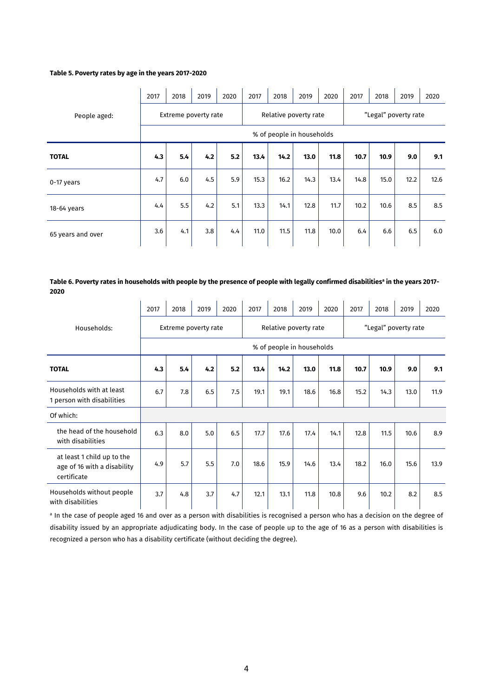## **Table 5. Poverty rates by age in the years 2017-2020**

|                   | 2017 | 2018                      | 2019                 | 2020 | 2017 | 2018 | 2019                  | 2020 | 2017                 | 2018 | 2019 | 2020 |
|-------------------|------|---------------------------|----------------------|------|------|------|-----------------------|------|----------------------|------|------|------|
| People aged:      |      |                           | Extreme poverty rate |      |      |      | Relative poverty rate |      | "Legal" poverty rate |      |      |      |
|                   |      | % of people in households |                      |      |      |      |                       |      |                      |      |      |      |
| <b>TOTAL</b>      | 4.3  | 5.4                       | 4.2                  | 5.2  | 13.4 | 14.2 | 13.0                  | 11.8 | 10.7                 | 10.9 | 9.0  | 9.1  |
| 0-17 years        | 4.7  | 6.0                       | 4.5                  | 5.9  | 15.3 | 16.2 | 14.3                  | 13.4 | 14.8                 | 15.0 | 12.2 | 12.6 |
| 18-64 years       | 4.4  | 5.5                       | 4.2                  | 5.1  | 13.3 | 14.1 | 12.8                  | 11.7 | 10.2                 | 10.6 | 8.5  | 8.5  |
| 65 years and over | 3.6  | 4.1                       | 3.8                  | 4.4  | 11.0 | 11.5 | 11.8                  | 10.0 | 6.4                  | 6.6  | 6.5  | 6.0  |

#### **Table 6. Poverty rates in households with people by the presence of people with legally confirmed disabilities<sup>a</sup> in the years 2017- 2020**

|                                                                          | 2017 | 2018                      | 2019                 | 2020 | 2017 | 2018 | 2019                  | 2020 | 2017                 | 2018 | 2019 | 2020 |
|--------------------------------------------------------------------------|------|---------------------------|----------------------|------|------|------|-----------------------|------|----------------------|------|------|------|
| Households:                                                              |      |                           | Extreme poverty rate |      |      |      | Relative poverty rate |      | "Legal" poverty rate |      |      |      |
|                                                                          |      | % of people in households |                      |      |      |      |                       |      |                      |      |      |      |
| <b>TOTAL</b>                                                             | 4.3  | 5.4                       | 4.2                  | 5.2  | 13.4 | 14.2 | 13.0                  | 11.8 | 10.7                 | 10.9 | 9.0  | 9.1  |
| Households with at least<br>1 person with disabilities                   | 6.7  | 7.8                       | 6.5                  | 7.5  | 19.1 | 19.1 | 18.6                  | 16.8 | 15.2                 | 14.3 | 13.0 | 11.9 |
| Of which:                                                                |      |                           |                      |      |      |      |                       |      |                      |      |      |      |
| the head of the household<br>with disabilities                           | 6.3  | 8.0                       | 5.0                  | 6.5  | 17.7 | 17.6 | 17.4                  | 14.1 | 12.8                 | 11.5 | 10.6 | 8.9  |
| at least 1 child up to the<br>age of 16 with a disability<br>certificate | 4.9  | 5.7                       | 5.5                  | 7.0  | 18.6 | 15.9 | 14.6                  | 13.4 | 18.2                 | 16.0 | 15.6 | 13.9 |
| Households without people<br>with disabilities                           | 3.7  | 4.8                       | 3.7                  | 4.7  | 12.1 | 13.1 | 11.8                  | 10.8 | 9.6                  | 10.2 | 8.2  | 8.5  |

<sup>a</sup> In the case of people aged 16 and over as a person with disabilities is recognised a person who has a decision on the degree of disability issued by an appropriate adjudicating body. In the case of people up to the age of 16 as a person with disabilities is recognized a person who has a disability certificate (without deciding the degree).